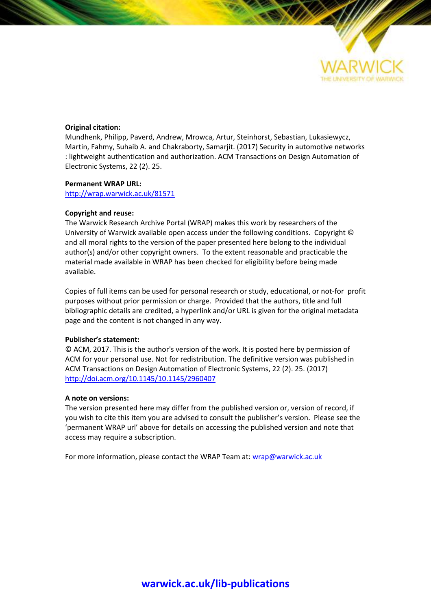

# **Original citation:**

Mundhenk, Philipp, Paverd, Andrew, Mrowca, Artur, Steinhorst, Sebastian, Lukasiewycz, Martin, Fahmy, Suhaib A. and Chakraborty, Samarjit. (2017) Security in automotive networks : lightweight authentication and authorization. ACM Transactions on Design Automation of Electronic Systems, 22 (2). 25.

# **Permanent WRAP URL:**

<http://wrap.warwick.ac.uk/81571>

# **Copyright and reuse:**

The Warwick Research Archive Portal (WRAP) makes this work by researchers of the University of Warwick available open access under the following conditions. Copyright © and all moral rights to the version of the paper presented here belong to the individual author(s) and/or other copyright owners. To the extent reasonable and practicable the material made available in WRAP has been checked for eligibility before being made available.

Copies of full items can be used for personal research or study, educational, or not-for profit purposes without prior permission or charge. Provided that the authors, title and full bibliographic details are credited, a hyperlink and/or URL is given for the original metadata page and the content is not changed in any way.

# **Publisher's statement:**

© ACM, 2017. This is the author's version of the work. It is posted here by permission of ACM for your personal use. Not for redistribution. The definitive version was published in ACM Transactions on Design Automation of Electronic Systems, 22 (2). 25. (2017) <http://doi.acm.org/10.1145/10.1145/2960407>

# **A note on versions:**

The version presented here may differ from the published version or, version of record, if you wish to cite this item you are advised to consult the publisher's version. Please see the 'permanent WRAP url' above for details on accessing the published version and note that access may require a subscription.

For more information, please contact the WRAP Team at[: wrap@warwick.ac.uk](mailto:wrap@warwick.ac.uk)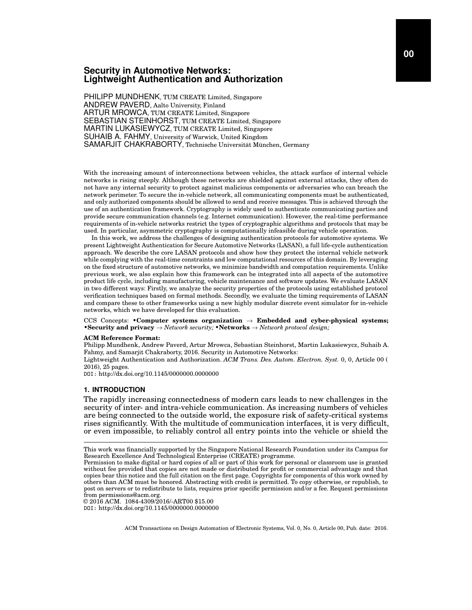PHILIPP MUNDHENK, TUM CREATE Limited, Singapore ANDREW PAVERD, Aalto University, Finland ARTUR MROWCA, TUM CREATE Limited, Singapore SEBASTIAN STEINHORST, TUM CREATE Limited, Singapore MARTIN LUKASIEWYCZ, TUM CREATE Limited, Singapore SUHAIB A. FAHMY, University of Warwick, United Kingdom SAMARJIT CHAKRABORTY, Technische Universität München, Germany

With the increasing amount of interconnections between vehicles, the attack surface of internal vehicle networks is rising steeply. Although these networks are shielded against external attacks, they often do not have any internal security to protect against malicious components or adversaries who can breach the network perimeter. To secure the in-vehicle network, all communicating components must be authenticated, and only authorized components should be allowed to send and receive messages. This is achieved through the use of an authentication framework. Cryptography is widely used to authenticate communicating parties and provide secure communication channels (e.g. Internet communication). However, the real-time performance requirements of in-vehicle networks restrict the types of cryptographic algorithms and protocols that may be used. In particular, asymmetric cryptography is computationally infeasible during vehicle operation.

In this work, we address the challenges of designing authentication protocols for automotive systems. We present Lightweight Authentication for Secure Automotive Networks (LASAN), a full life-cycle authentication approach. We describe the core LASAN protocols and show how they protect the internal vehicle network while complying with the real-time constraints and low computational resources of this domain. By leveraging on the fixed structure of automotive networks, we minimize bandwidth and computation requirements. Unlike previous work, we also explain how this framework can be integrated into all aspects of the automotive product life cycle, including manufacturing, vehicle maintenance and software updates. We evaluate LASAN in two different ways: Firstly, we analyze the security properties of the protocols using established protocol verification techniques based on formal methods. Secondly, we evaluate the timing requirements of LASAN and compare these to other frameworks using a new highly modular discrete event simulator for in-vehicle networks, which we have developed for this evaluation.

CCS Concepts:  $\bullet$  Computer systems organization  $\rightarrow$  Embedded and cyber-physical systems; •**Security and privacy**  $\rightarrow$  *Network security;* • **Networks**  $\rightarrow$  *Network protocol design;* 

#### **ACM Reference Format:**

Philipp Mundhenk, Andrew Paverd, Artur Mrowca, Sebastian Steinhorst, Martin Lukasiewycz, Suhaib A. Fahmy, and Samarjit Chakraborty, 2016. Security in Automotive Networks:

Lightweight Authentication and Authorization. *ACM Trans. Des. Autom. Electron. Syst.* 0, 0, Article 00 ( 2016), 25 pages.

DOI: http://dx.doi.org/10.1145/0000000.0000000

#### **1. INTRODUCTION**

The rapidly increasing connectedness of modern cars leads to new challenges in the security of inter- and intra-vehicle communication. As increasing numbers of vehicles are being connected to the outside world, the exposure risk of safety-critical systems rises significantly. With the multitude of communication interfaces, it is very difficult, or even impossible, to reliably control all entry points into the vehicle or shield the

© 2016 ACM. 1084-4309/2016/-ART00 \$15.00

DOI: http://dx.doi.org/10.1145/0000000.0000000

This work was financially supported by the Singapore National Research Foundation under its Campus for Research Excellence And Technological Enterprise (CREATE) programme.

Permission to make digital or hard copies of all or part of this work for personal or classroom use is granted without fee provided that copies are not made or distributed for profit or commercial advantage and that copies bear this notice and the full citation on the first page. Copyrights for components of this work owned by others than ACM must be honored. Abstracting with credit is permitted. To copy otherwise, or republish, to post on servers or to redistribute to lists, requires prior specific permission and/or a fee. Request permissions from permissions@acm.org.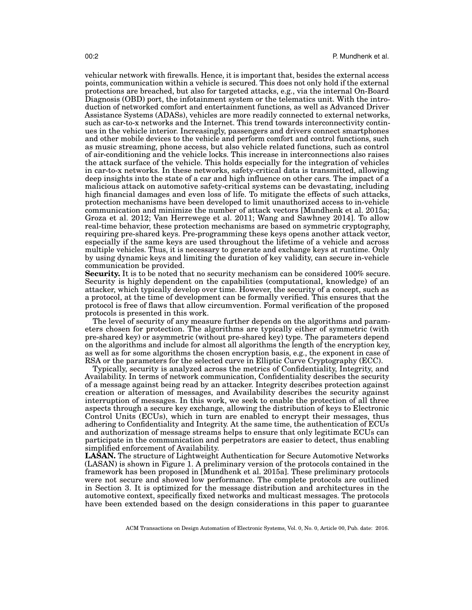vehicular network with firewalls. Hence, it is important that, besides the external access points, communication within a vehicle is secured. This does not only hold if the external protections are breached, but also for targeted attacks, e.g., via the internal On-Board Diagnosis (OBD) port, the infotainment system or the telematics unit. With the introduction of networked comfort and entertainment functions, as well as Advanced Driver Assistance Systems (ADASs), vehicles are more readily connected to external networks, such as car-to-x networks and the Internet. This trend towards interconnectivity continues in the vehicle interior. Increasingly, passengers and drivers connect smartphones and other mobile devices to the vehicle and perform comfort and control functions, such as music streaming, phone access, but also vehicle related functions, such as control of air-conditioning and the vehicle locks. This increase in interconnections also raises the attack surface of the vehicle. This holds especially for the integration of vehicles in car-to-x networks. In these networks, safety-critical data is transmitted, allowing deep insights into the state of a car and high influence on other cars. The impact of a malicious attack on automotive safety-critical systems can be devastating, including high financial damages and even loss of life. To mitigate the effects of such attacks, protection mechanisms have been developed to limit unauthorized access to in-vehicle communication and minimize the number of attack vectors [Mundhenk et al. 2015a; Groza et al. 2012; Van Herrewege et al. 2011; Wang and Sawhney 2014]. To allow real-time behavior, these protection mechanisms are based on symmetric cryptography, requiring pre-shared keys. Pre-programming these keys opens another attack vector, especially if the same keys are used throughout the lifetime of a vehicle and across multiple vehicles. Thus, it is necessary to generate and exchange keys at runtime. Only by using dynamic keys and limiting the duration of key validity, can secure in-vehicle communication be provided.

**Security.** It is to be noted that no security mechanism can be considered 100% secure. Security is highly dependent on the capabilities (computational, knowledge) of an attacker, which typically develop over time. However, the security of a concept, such as a protocol, at the time of development can be formally verified. This ensures that the protocol is free of flaws that allow circumvention. Formal verification of the proposed protocols is presented in this work.

The level of security of any measure further depends on the algorithms and parameters chosen for protection. The algorithms are typically either of symmetric (with pre-shared key) or asymmetric (without pre-shared key) type. The parameters depend on the algorithms and include for almost all algorithms the length of the encryption key, as well as for some algorithms the chosen encryption basis, e.g., the exponent in case of RSA or the parameters for the selected curve in Elliptic Curve Cryptography (ECC).

Typically, security is analyzed across the metrics of Confidentiality, Integrity, and Availability. In terms of network communication, Confidentiality describes the security of a message against being read by an attacker. Integrity describes protection against creation or alteration of messages, and Availability describes the security against interruption of messages. In this work, we seek to enable the protection of all three aspects through a secure key exchange, allowing the distribution of keys to Electronic Control Units (ECUs), which in turn are enabled to encrypt their messages, thus adhering to Confidentiality and Integrity. At the same time, the authentication of ECUs and authorization of message streams helps to ensure that only legitimate ECUs can participate in the communication and perpetrators are easier to detect, thus enabling simplified enforcement of Availability.

**LASAN.** The structure of Lightweight Authentication for Secure Automotive Networks (LASAN) is shown in Figure 1. A preliminary version of the protocols contained in the framework has been proposed in [Mundhenk et al. 2015a]. These preliminary protocols were not secure and showed low performance. The complete protocols are outlined in Section 3. It is optimized for the message distribution and architectures in the automotive context, specifically fixed networks and multicast messages. The protocols have been extended based on the design considerations in this paper to guarantee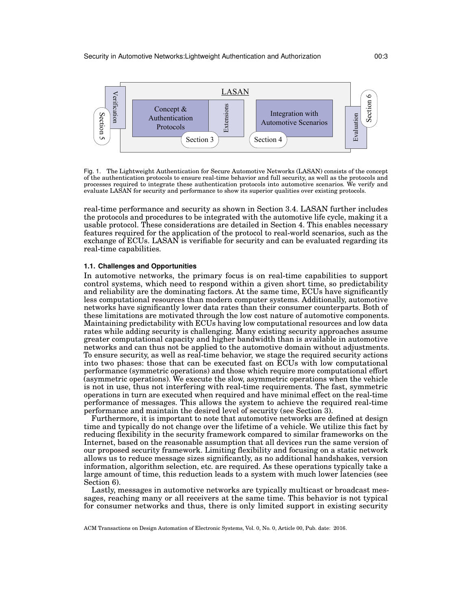

Fig. 1. The Lightweight Authentication for Secure Automotive Networks (LASAN) consists of the concept of the authentication protocols to ensure real-time behavior and full security, as well as the protocols and processes required to integrate these authentication protocols into automotive scenarios. We verify and evaluate LASAN for security and performance to show its superior qualities over existing protocols.

real-time performance and security as shown in Section 3.4. LASAN further includes the protocols and procedures to be integrated with the automotive life cycle, making it a usable protocol. These considerations are detailed in Section 4. This enables necessary features required for the application of the protocol to real-world scenarios, such as the exchange of ECUs. LASAN is verifiable for security and can be evaluated regarding its real-time capabilities.

## **1.1. Challenges and Opportunities**

In automotive networks, the primary focus is on real-time capabilities to support control systems, which need to respond within a given short time, so predictability and reliability are the dominating factors. At the same time, ECUs have significantly less computational resources than modern computer systems. Additionally, automotive networks have significantly lower data rates than their consumer counterparts. Both of these limitations are motivated through the low cost nature of automotive components. Maintaining predictability with ECUs having low computational resources and low data rates while adding security is challenging. Many existing security approaches assume greater computational capacity and higher bandwidth than is available in automotive networks and can thus not be applied to the automotive domain without adjustments. To ensure security, as well as real-time behavior, we stage the required security actions into two phases: those that can be executed fast on ECUs with low computational performance (symmetric operations) and those which require more computational effort (asymmetric operations). We execute the slow, asymmetric operations when the vehicle is not in use, thus not interfering with real-time requirements. The fast, symmetric operations in turn are executed when required and have minimal effect on the real-time performance of messages. This allows the system to achieve the required real-time performance and maintain the desired level of security (see Section 3).

Furthermore, it is important to note that automotive networks are defined at design time and typically do not change over the lifetime of a vehicle. We utilize this fact by reducing flexibility in the security framework compared to similar frameworks on the Internet, based on the reasonable assumption that all devices run the same version of our proposed security framework. Limiting flexibility and focusing on a static network allows us to reduce message sizes significantly, as no additional handshakes, version information, algorithm selection, etc. are required. As these operations typically take a large amount of time, this reduction leads to a system with much lower latencies (see Section 6).

Lastly, messages in automotive networks are typically multicast or broadcast messages, reaching many or all receivers at the same time. This behavior is not typical for consumer networks and thus, there is only limited support in existing security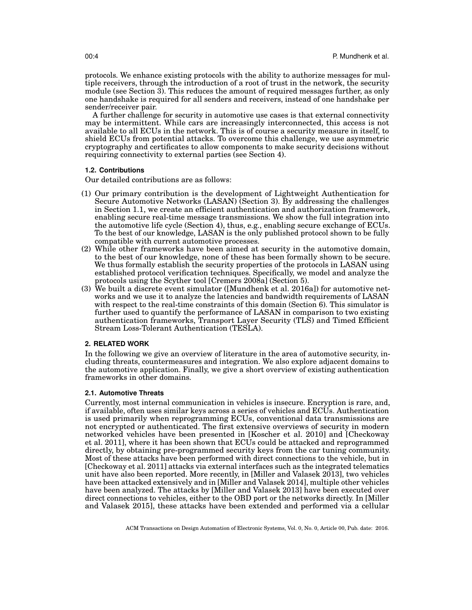protocols. We enhance existing protocols with the ability to authorize messages for multiple receivers, through the introduction of a root of trust in the network, the security module (see Section 3). This reduces the amount of required messages further, as only one handshake is required for all senders and receivers, instead of one handshake per sender/receiver pair.

A further challenge for security in automotive use cases is that external connectivity may be intermittent. While cars are increasingly interconnected, this access is not available to all ECUs in the network. This is of course a security measure in itself, to shield ECUs from potential attacks. To overcome this challenge, we use asymmetric cryptography and certificates to allow components to make security decisions without requiring connectivity to external parties (see Section 4).

## **1.2. Contributions**

Our detailed contributions are as follows:

- (1) Our primary contribution is the development of Lightweight Authentication for Secure Automotive Networks (LASAN) (Section 3). By addressing the challenges in Section 1.1, we create an efficient authentication and authorization framework, enabling secure real-time message transmissions. We show the full integration into the automotive life cycle (Section 4), thus, e.g., enabling secure exchange of ECUs. To the best of our knowledge, LASAN is the only published protocol shown to be fully compatible with current automotive processes.
- (2) While other frameworks have been aimed at security in the automotive domain, to the best of our knowledge, none of these has been formally shown to be secure. We thus formally establish the security properties of the protocols in LASAN using established protocol verification techniques. Specifically, we model and analyze the protocols using the Scyther tool [Cremers 2008a] (Section 5).
- (3) We built a discrete event simulator ([Mundhenk et al. 2016a]) for automotive networks and we use it to analyze the latencies and bandwidth requirements of LASAN with respect to the real-time constraints of this domain (Section 6). This simulator is further used to quantify the performance of LASAN in comparison to two existing authentication frameworks, Transport Layer Security (TLS) and Timed Efficient Stream Loss-Tolerant Authentication (TESLA).

# **2. RELATED WORK**

In the following we give an overview of literature in the area of automotive security, including threats, countermeasures and integration. We also explore adjacent domains to the automotive application. Finally, we give a short overview of existing authentication frameworks in other domains.

## **2.1. Automotive Threats**

Currently, most internal communication in vehicles is insecure. Encryption is rare, and, if available, often uses similar keys across a series of vehicles and ECUs. Authentication is used primarily when reprogramming ECUs, conventional data transmissions are not encrypted or authenticated. The first extensive overviews of security in modern networked vehicles have been presented in [Koscher et al. 2010] and [Checkoway et al. 2011], where it has been shown that ECUs could be attacked and reprogrammed directly, by obtaining pre-programmed security keys from the car tuning community. Most of these attacks have been performed with direct connections to the vehicle, but in [Checkoway et al. 2011] attacks via external interfaces such as the integrated telematics unit have also been reported. More recently, in [Miller and Valasek 2013], two vehicles have been attacked extensively and in [Miller and Valasek 2014], multiple other vehicles have been analyzed. The attacks by [Miller and Valasek 2013] have been executed over direct connections to vehicles, either to the OBD port or the networks directly. In [Miller and Valasek 2015], these attacks have been extended and performed via a cellular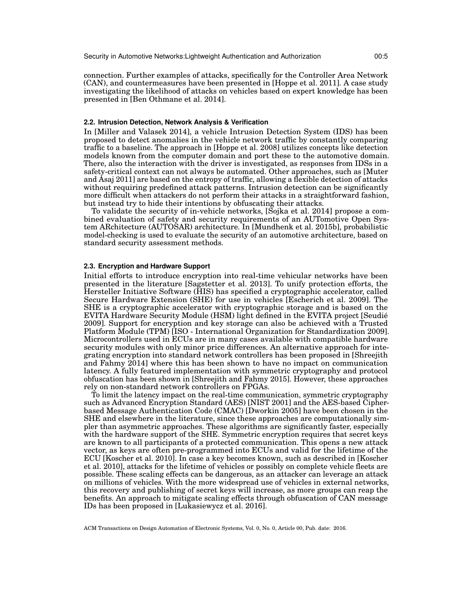connection. Further examples of attacks, specifically for the Controller Area Network (CAN), and countermeasures have been presented in [Hoppe et al. 2011]. A case study investigating the likelihood of attacks on vehicles based on expert knowledge has been presented in [Ben Othmane et al. 2014].

#### **2.2. Intrusion Detection, Network Analysis & Verification**

In [Miller and Valasek 2014], a vehicle Intrusion Detection System (IDS) has been proposed to detect anomalies in the vehicle network traffic by constantly comparing traffic to a baseline. The approach in [Hoppe et al. 2008] utilizes concepts like detection models known from the computer domain and port these to the automotive domain. There, also the interaction with the driver is investigated, as responses from IDSs in a safety-critical context can not always be automated. Other approaches, such as [Muter and Asaj 2011] are based on the entropy of traffic, allowing a flexible detection of attacks without requiring predefined attack patterns. Intrusion detection can be significantly more difficult when attackers do not perform their attacks in a straightforward fashion, but instead try to hide their intentions by obfuscating their attacks.

To validate the security of in-vehicle networks, [Sojka et al. 2014] propose a combined evaluation of safety and security requirements of an AUTomotive Open System ARchitecture (AUTOSAR) architecture. In [Mundhenk et al. 2015b], probabilistic model-checking is used to evaluate the security of an automotive architecture, based on standard security assessment methods.

#### **2.3. Encryption and Hardware Support**

Initial efforts to introduce encryption into real-time vehicular networks have been presented in the literature [Sagstetter et al. 2013]. To unify protection efforts, the Hersteller Initiative Software (HIS) has specified a cryptographic accelerator, called Secure Hardware Extension (SHE) for use in vehicles [Escherich et al. 2009]. The SHE is a cryptographic accelerator with cryptographic storage and is based on the EVITA Hardware Security Module (HSM) light defined in the EVITA project [Seudie´ 2009]. Support for encryption and key storage can also be achieved with a Trusted Platform Module (TPM) [ISO - International Organization for Standardization 2009]. Microcontrollers used in ECUs are in many cases available with compatible hardware security modules with only minor price differences. An alternative approach for integrating encryption into standard network controllers has been proposed in [Shreejith and Fahmy 2014] where this has been shown to have no impact on communication latency. A fully featured implementation with symmetric cryptography and protocol obfuscation has been shown in [Shreejith and Fahmy 2015]. However, these approaches rely on non-standard network controllers on FPGAs.

To limit the latency impact on the real-time communication, symmetric cryptography such as Advanced Encryption Standard (AES) [NIST 2001] and the AES-based Cipherbased Message Authentication Code (CMAC) [Dworkin 2005] have been chosen in the SHE and elsewhere in the literature, since these approaches are computationally simpler than asymmetric approaches. These algorithms are significantly faster, especially with the hardware support of the SHE. Symmetric encryption requires that secret keys are known to all participants of a protected communication. This opens a new attack vector, as keys are often pre-programmed into ECUs and valid for the lifetime of the ECU [Koscher et al. 2010]. In case a key becomes known, such as described in [Koscher et al. 2010], attacks for the lifetime of vehicles or possibly on complete vehicle fleets are possible. These scaling effects can be dangerous, as an attacker can leverage an attack on millions of vehicles. With the more widespread use of vehicles in external networks, this recovery and publishing of secret keys will increase, as more groups can reap the benefits. An approach to mitigate scaling effects through obfuscation of CAN message IDs has been proposed in [Lukasiewycz et al. 2016].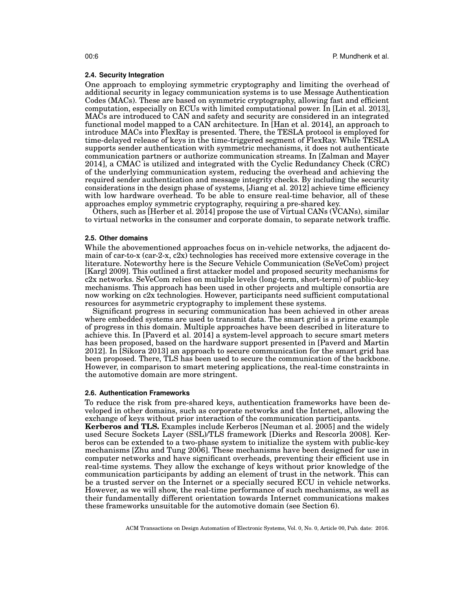# **2.4. Security Integration**

One approach to employing symmetric cryptography and limiting the overhead of additional security in legacy communication systems is to use Message Authentication Codes (MACs). These are based on symmetric cryptography, allowing fast and efficient computation, especially on ECUs with limited computational power. In [Lin et al. 2013], MACs are introduced to CAN and safety and security are considered in an integrated functional model mapped to a CAN architecture. In [Han et al. 2014], an approach to introduce MACs into FlexRay is presented. There, the TESLA protocol is employed for time-delayed release of keys in the time-triggered segment of FlexRay. While TESLA supports sender authentication with symmetric mechanisms, it does not authenticate communication partners or authorize communication streams. In [Zalman and Mayer 2014], a CMAC is utilized and integrated with the Cyclic Redundancy Check (CRC) of the underlying communication system, reducing the overhead and achieving the required sender authentication and message integrity checks. By including the security considerations in the design phase of systems, [Jiang et al. 2012] achieve time efficiency with low hardware overhead. To be able to ensure real-time behavior, all of these approaches employ symmetric cryptography, requiring a pre-shared key.

Others, such as [Herber et al. 2014] propose the use of Virtual CANs (VCANs), similar to virtual networks in the consumer and corporate domain, to separate network traffic.

#### **2.5. Other domains**

While the abovementioned approaches focus on in-vehicle networks, the adjacent domain of car-to-x (car-2-x,  $c2x$ ) technologies has received more extensive coverage in the literature. Noteworthy here is the Secure Vehicle Communication (SeVeCom) project [Kargl 2009]. This outlined a first attacker model and proposed security mechanisms for c2x networks. SeVeCom relies on multiple levels (long-term, short-term) of public-key mechanisms. This approach has been used in other projects and multiple consortia are now working on c2x technologies. However, participants need sufficient computational resources for asymmetric cryptography to implement these systems.

Significant progress in securing communication has been achieved in other areas where embedded systems are used to transmit data. The smart grid is a prime example of progress in this domain. Multiple approaches have been described in literature to achieve this. In [Paverd et al. 2014] a system-level approach to secure smart meters has been proposed, based on the hardware support presented in [Paverd and Martin 2012]. In [Sikora 2013] an approach to secure communication for the smart grid has been proposed. There, TLS has been used to secure the communication of the backbone. However, in comparison to smart metering applications, the real-time constraints in the automotive domain are more stringent.

#### **2.6. Authentication Frameworks**

To reduce the risk from pre-shared keys, authentication frameworks have been developed in other domains, such as corporate networks and the Internet, allowing the exchange of keys without prior interaction of the communication participants.

**Kerberos and TLS.** Examples include Kerberos [Neuman et al. 2005] and the widely used Secure Sockets Layer (SSL)/TLS framework [Dierks and Rescorla 2008]. Kerberos can be extended to a two-phase system to initialize the system with public-key mechanisms [Zhu and Tung 2006]. These mechanisms have been designed for use in computer networks and have significant overheads, preventing their efficient use in real-time systems. They allow the exchange of keys without prior knowledge of the communication participants by adding an element of trust in the network. This can be a trusted server on the Internet or a specially secured ECU in vehicle networks. However, as we will show, the real-time performance of such mechanisms, as well as their fundamentally different orientation towards Internet communications makes these frameworks unsuitable for the automotive domain (see Section 6).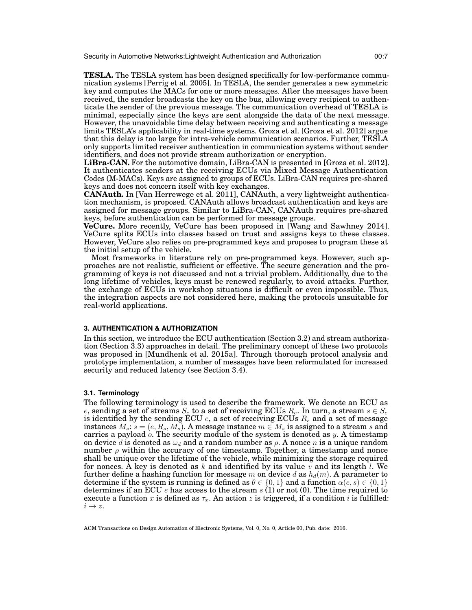**TESLA.** The TESLA system has been designed specifically for low-performance communication systems [Perrig et al. 2005]. In TESLA, the sender generates a new symmetric key and computes the MACs for one or more messages. After the messages have been received, the sender broadcasts the key on the bus, allowing every recipient to authenticate the sender of the previous message. The communication overhead of TESLA is minimal, especially since the keys are sent alongside the data of the next message. However, the unavoidable time delay between receiving and authenticating a message limits TESLA's applicability in real-time systems. Groza et al. [Groza et al. 2012] argue that this delay is too large for intra-vehicle communication scenarios. Further, TESLA only supports limited receiver authentication in communication systems without sender identifiers, and does not provide stream authorization or encryption.

LiBra-CAN. For the automotive domain, LiBra-CAN is presented in [Groza et al. 2012]. It authenticates senders at the receiving ECUs via Mixed Message Authentication Codes (M-MACs). Keys are assigned to groups of ECUs. LiBra-CAN requires pre-shared keys and does not concern itself with key exchanges.

**CANAuth.** In [Van Herrewege et al. 2011], CANAuth, a very lightweight authentication mechanism, is proposed. CANAuth allows broadcast authentication and keys are assigned for message groups. Similar to LiBra-CAN, CANAuth requires pre-shared keys, before authentication can be performed for message groups.

**VeCure.** More recently, VeCure has been proposed in [Wang and Sawhney 2014]. VeCure splits ECUs into classes based on trust and assigns keys to these classes. However, VeCure also relies on pre-programmed keys and proposes to program these at the initial setup of the vehicle.

Most frameworks in literature rely on pre-programmed keys. However, such approaches are not realistic, sufficient or effective. The secure generation and the programming of keys is not discussed and not a trivial problem. Additionally, due to the long lifetime of vehicles, keys must be renewed regularly, to avoid attacks. Further, the exchange of ECUs in workshop situations is difficult or even impossible. Thus, the integration aspects are not considered here, making the protocols unsuitable for real-world applications.

## **3. AUTHENTICATION & AUTHORIZATION**

In this section, we introduce the ECU authentication (Section 3.2) and stream authorization (Section 3.3) approaches in detail. The preliminary concept of these two protocols was proposed in [Mundhenk et al. 2015a]. Through thorough protocol analysis and prototype implementation, a number of messages have been reformulated for increased security and reduced latency (see Section 3.4).

# **3.1. Terminology**

The following terminology is used to describe the framework. We denote an ECU as *e*, sending a set of streams  $S_e$  to a set of receiving ECUs  $R_e$ . In turn, a stream  $s \in S_e$ is identified by the sending ECU *e*, a set of receiving ECUs *R<sup>s</sup>* and a set of message instances  $M_s$ :  $s = (e, R_s, M_s)$ . A message instance  $m \in M_s$  is assigned to a stream *s* and carries a payload *o*. The security module of the system is denoted as *y*. A timestamp on device *d* is denoted as  $\omega_d$  and a random number as  $\rho$ . A nonce *n* is a unique random number  $\rho$  within the accuracy of one timestamp. Together, a timestamp and nonce shall be unique over the lifetime of the vehicle, while minimizing the storage required for nonces. A key is denoted as *k* and identified by its value *v* and its length *l*. We further define a hashing function for message *m* on device *d* as  $h_d(m)$ . A parameter to determine if the system is running is defined as  $\theta \in \{0, 1\}$  and a function  $\alpha(e, s) \in \{0, 1\}$ determines if an ECU *e* has access to the stream *s* (1) or not (0). The time required to execute a function *x* is defined as  $\tau_x$ . An action *z* is triggered, if a condition *i* is fulfilled:  $i \rightarrow z$ .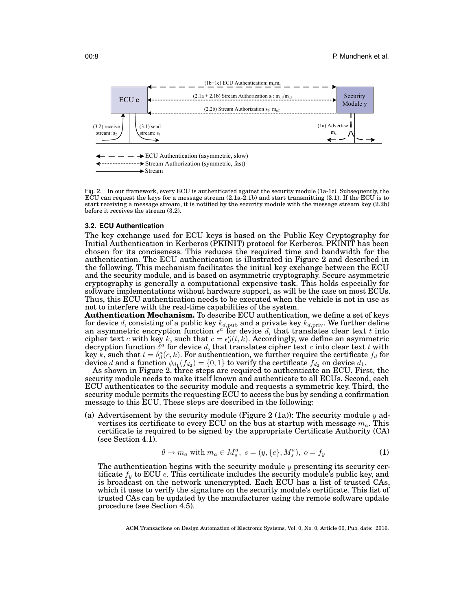

Fig. 2. In our framework, every ECU is authenticated against the security module (1a-1c). Subsequently, the ECU can request the keys for a message stream  $(2.1a-2.1b)$  and start transmitting  $(3.1)$ . If the ECU is to start receiving a message stream, it is notified by the security module with the message stream key (2.2b) before it receives the stream (3.2).

#### **3.2. ECU Authentication**

The key exchange used for ECU keys is based on the Public Key Cryptography for Initial Authentication in Kerberos (PKINIT) protocol for Kerberos. PKINIT has been chosen for its conciseness. This reduces the required time and bandwidth for the authentication. The ECU authentication is illustrated in Figure 2 and described in the following. This mechanism facilitates the initial key exchange between the ECU and the security module, and is based on asymmetric cryptography. Secure asymmetric cryptography is generally a computational expensive task. This holds especially for software implementations without hardware support, as will be the case on most ECUs. Thus, this ECU authentication needs to be executed when the vehicle is not in use as not to interfere with the real-time capabilities of the system.

**Authentication Mechanism.** To describe ECU authentication, we define a set of keys for device *d*, consisting of a public key *kd,*pub and a private key *kd,*priv. We further define an asymmetric encryption function  $\epsilon^a$  for device *d*, that translates clear text *t* into cipher text *c* with key *k*, such that  $c = \epsilon_d^a(t, k)$ . Accordingly, we define an asymmetric decryption function  $\delta^a$  for device *d*, that translates cipher text *c* into clear text *t* with key  $k$ , such that  $t = \delta_d^a(c, k)$ . For authentication, we further require the certificate  $f_d$  for device *d* and a function  $\phi_{d_1}(f_{d_2}) = \{0, 1\}$  to verify the certificate  $f_{d_2}$  on device  $d_1$ .

As shown in Figure 2, three steps are required to authenticate an ECU. First, the security module needs to make itself known and authenticate to all ECUs. Second, each ECU authenticates to the security module and requests a symmetric key. Third, the security module permits the requesting ECU to access the bus by sending a confirmation message to this ECU. These steps are described in the following:

(a) Advertisement by the security module (Figure 2 (1a)): The security module *y* advertises its certificate to every ECU on the bus at startup with message *ma*. This certificate is required to be signed by the appropriate Certificate Authority (CA) (see Section 4.1).

$$
\theta \to m_a
$$
 with  $m_a \in M_s^a$ ,  $s = (y, \{e\}, M_s^a)$ ,  $o = f_y$  (1)

The authentication begins with the security module *y* presenting its security certificate  $f_y$  to ECU  $e$ . This certificate includes the security module's public key, and is broadcast on the network unencrypted. Each ECU has a list of trusted CAs, which it uses to verify the signature on the security module's certificate. This list of trusted CAs can be updated by the manufacturer using the remote software update procedure (see Section 4.5).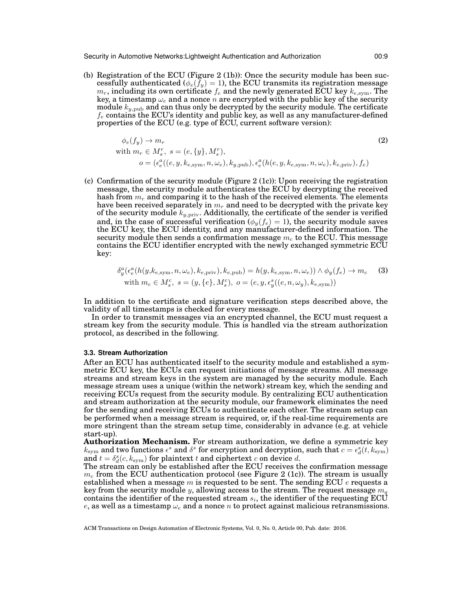(b) Registration of the ECU (Figure 2 (1b)): Once the security module has been successfully authenticated ( $\phi_e(f_y) = 1$ ), the ECU transmits its registration message  $m_r$ , including its own certificate  $f_e$  and the newly generated ECU key  $k_{e, sym}$ . The key, a timestamp  $\omega_e$  and a nonce *n* are encrypted with the public key of the security module  $k_{y, \text{pub}}$  and can thus only be decrypted by the security module. The certificate  $f_e$  contains the ECU's identity and public key, as well as any manufacturer-defined properties of the ECU (e.g. type of ECU, current software version):

$$
\phi_e(f_y) \to m_r
$$
  
with  $m_r \in M_s^r$ ,  $s = (e, \{y\}, M_s^r)$ ,  

$$
o = (\epsilon_e^a((e, y, k_{e, \text{sym}}, n, \omega_e), k_{y, \text{pub}}), \epsilon_e^a(h(e, y, k_{e, \text{sym}}, n, \omega_e), k_{e, \text{priv}}), f_e)
$$
 (2)

(c) Confirmation of the security module (Figure 2 (1c)): Upon receiving the registration message, the security module authenticates the ECU by decrypting the received hash from  $m_r$  and comparing it to the hash of the received elements. The elements have been received separately in *m<sup>r</sup>* and need to be decrypted with the private key of the security module *ky,*priv. Additionally, the certificate of the sender is verified and, in the case of successful verification ( $\phi_y(f_e)=1$ ), the security module saves the ECU key, the ECU identity, and any manufacturer-defined information. The security module then sends a confirmation message *m<sup>c</sup>* to the ECU. This message contains the ECU identifier encrypted with the newly exchanged symmetric ECU key:

$$
\delta_y^a(\epsilon_e^a(h(y, k_{e, sym}, n, \omega_e), k_{e, priv}), k_{e, pub}) = h(y, k_{e, sym}, n, \omega_e)) \wedge \phi_y(f_e) \to m_c \quad (3)
$$
  
with  $m_c \in M_s^c$ ,  $s = (y, \{e\}, M_s^c)$ ,  $o = (e, y, \epsilon_y^s((e, n, \omega_y), k_{e, sym}))$ 

In addition to the certificate and signature verification steps described above, the validity of all timestamps is checked for every message.

In order to transmit messages via an encrypted channel, the ECU must request a stream key from the security module. This is handled via the stream authorization protocol, as described in the following.

#### **3.3. Stream Authorization**

After an ECU has authenticated itself to the security module and established a symmetric ECU key, the ECUs can request initiations of message streams. All message streams and stream keys in the system are managed by the security module. Each message stream uses a unique (within the network) stream key, which the sending and receiving ECUs request from the security module. By centralizing ECU authentication and stream authorization at the security module, our framework eliminates the need for the sending and receiving ECUs to authenticate each other. The stream setup can be performed when a message stream is required, or, if the real-time requirements are more stringent than the stream setup time, considerably in advance (e.g. at vehicle start-up).

**Authorization Mechanism.** For stream authorization, we define a symmetric key  $k_{\rm sym}$  and two functions  $\epsilon^s$  and  $\delta^s$  for encryption and decryption, such that  $c = \epsilon^s_d(t,k_{\rm sym})$ and  $t = \delta_d^s(c, k_{\text{sym}})$  for plaintext *t* and ciphertext *c* on device *d*.

The stream can only be established after the ECU receives the confirmation message  $m<sub>c</sub>$  from the ECU authentication protocol (see Figure 2 (1c)). The stream is usually established when a message *m* is requested to be sent. The sending ECU *e* requests a key from the security module *y*, allowing access to the stream. The request message *m<sup>q</sup>* contains the identifier of the requested stream *si*, the identifier of the requesting ECU *e*, as well as a timestamp  $\omega_e$  and a nonce *n* to protect against malicious retransmissions.

ACM Transactions on Design Automation of Electronic Systems, Vol. 0, No. 0, Article 00, Pub. date: 2016.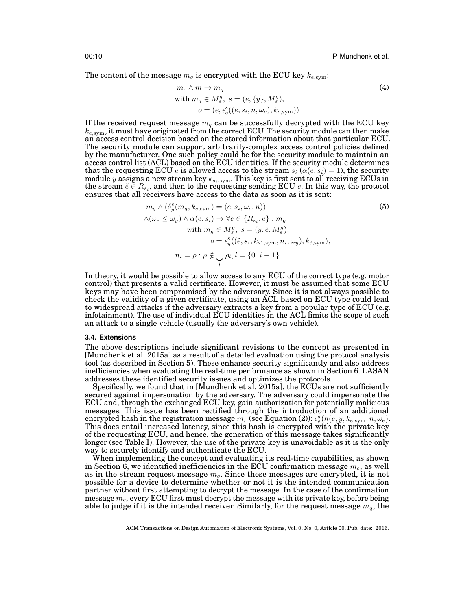The content of the message  $m_q$  is encrypted with the ECU key  $k_{e, sym}$ :

$$
m_c \wedge m \to m_q
$$
  
with  $m_q \in M_s^q$ ,  $s = (e, \{y\}, M_s^q)$ ,  

$$
o = (e, \epsilon_e^s((e, s_i, n, \omega_e), k_{e, sym}))
$$
 (4)

If the received request message  $m_q$  can be successfully decrypted with the ECU key  $k_{e, sym}$ , it must have originated from the correct ECU. The security module can then make an access control decision based on the stored information about that particular ECU. The security module can support arbitrarily-complex access control policies defined by the manufacturer. One such policy could be for the security module to maintain an access control list (ACL) based on the ECU identities. If the security module determines that the requesting ECU *e* is allowed access to the stream  $s_i$  ( $\alpha(e, s_i) = 1$ ), the security module  $y$  assigns a new stream key  $k_{s_i,\mathrm{sym}}$ . This key is first sent to all receiving ECUs in the stream  $\tilde{e} \in R_{s_i}$ , and then to the requesting sending ECU  $e$ . In this way, the protocol ensures that all receivers have access to the data as soon as it is sent:

$$
m_q \wedge (\delta_y^s(m_q, k_{e, \text{sym}}) = (e, s_i, \omega_e, n))
$$
\n
$$
\wedge (\omega_e \le \omega_y) \wedge \alpha(e, s_i) \rightarrow \forall \tilde{e} \in \{R_{s_i}, e\} : m_g
$$
\nwith  $m_g \in M_s^g$ ,  $s = (y, \tilde{e}, M_s^g)$ ,  
\n
$$
o = \epsilon_y^s((\tilde{e}, s_i, k_{s1, \text{sym}}, n_i, \omega_y), k_{\tilde{e}, \text{sym}}),
$$
\n
$$
n_i = \rho : \rho \notin \bigcup_l \rho_l, l = \{0..i-1\}
$$
\n(5)

In theory, it would be possible to allow access to any ECU of the correct type (e.g. motor control) that presents a valid certificate. However, it must be assumed that some ECU keys may have been compromised by the adversary. Since it is not always possible to check the validity of a given certificate, using an ACL based on ECU type could lead to widespread attacks if the adversary extracts a key from a popular type of ECU (e.g. infotainment). The use of individual ECU identities in the ACL limits the scope of such an attack to a single vehicle (usually the adversary's own vehicle).

## **3.4. Extensions**

The above descriptions include significant revisions to the concept as presented in [Mundhenk et al. 2015a] as a result of a detailed evaluation using the protocol analysis tool (as described in Section 5). These enhance security significantly and also address inefficiencies when evaluating the real-time performance as shown in Section 6. LASAN addresses these identified security issues and optimizes the protocols.

Specifically, we found that in [Mundhenk et al. 2015a], the ECUs are not sufficiently secured against impersonation by the adversary. The adversary could impersonate the ECU and, through the exchanged ECU key, gain authorization for potentially malicious messages. This issue has been rectified through the introduction of an additional  $\epsilon_e^a(h(e,y,k_{e,\text{sym}},n,\omega_e).$  enerypted hash in the registration message  $m_r$  (see Equation (2)):  $\epsilon_e^a(h(e,y,k_{e,\text{sym}},n,\omega_e).$ This does entail increased latency, since this hash is encrypted with the private key of the requesting ECU, and hence, the generation of this message takes significantly longer (see Table I). However, the use of the private key is unavoidable as it is the only way to securely identify and authenticate the ECU.

When implementing the concept and evaluating its real-time capabilities, as shown in Section  $\hat{6}$ , we identified inefficiencies in the ECU confirmation message  $m_c$ , as well as in the stream request message *mq*. Since these messages are encrypted, it is not possible for a device to determine whether or not it is the intended communication partner without first attempting to decrypt the message. In the case of the confirmation message *mc*, every ECU first must decrypt the message with its private key, before being able to judge if it is the intended receiver. Similarly, for the request message *mq*, the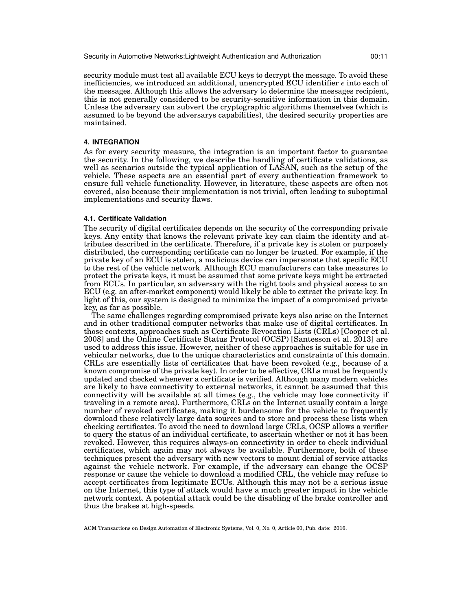security module must test all available ECU keys to decrypt the message. To avoid these inefficiencies, we introduced an additional, unencrypted ECU identifier *e* into each of the messages. Although this allows the adversary to determine the messages recipient, this is not generally considered to be security-sensitive information in this domain. Unless the adversary can subvert the cryptographic algorithms themselves (which is assumed to be beyond the adversarys capabilities), the desired security properties are maintained.

#### **4. INTEGRATION**

As for every security measure, the integration is an important factor to guarantee the security. In the following, we describe the handling of certificate validations, as well as scenarios outside the typical application of LASAN, such as the setup of the vehicle. These aspects are an essential part of every authentication framework to ensure full vehicle functionality. However, in literature, these aspects are often not covered, also because their implementation is not trivial, often leading to suboptimal implementations and security flaws.

# **4.1. Certificate Validation**

The security of digital certificates depends on the security of the corresponding private keys. Any entity that knows the relevant private key can claim the identity and attributes described in the certificate. Therefore, if a private key is stolen or purposely distributed, the corresponding certificate can no longer be trusted. For example, if the private key of an ECU is stolen, a malicious device can impersonate that specific ECU to the rest of the vehicle network. Although ECU manufacturers can take measures to protect the private keys, it must be assumed that some private keys might be extracted from ECUs. In particular, an adversary with the right tools and physical access to an ECU (e.g. an after-market component) would likely be able to extract the private key. In light of this, our system is designed to minimize the impact of a compromised private key, as far as possible.

The same challenges regarding compromised private keys also arise on the Internet and in other traditional computer networks that make use of digital certificates. In those contexts, approaches such as Certificate Revocation Lists (CRLs) [Cooper et al. 2008] and the Online Certificate Status Protocol (OCSP) [Santesson et al. 2013] are used to address this issue. However, neither of these approaches is suitable for use in vehicular networks, due to the unique characteristics and constraints of this domain. CRLs are essentially lists of certificates that have been revoked (e.g., because of a known compromise of the private key). In order to be effective, CRLs must be frequently updated and checked whenever a certificate is verified. Although many modern vehicles are likely to have connectivity to external networks, it cannot be assumed that this connectivity will be available at all times (e.g., the vehicle may lose connectivity if traveling in a remote area). Furthermore, CRLs on the Internet usually contain a large number of revoked certificates, making it burdensome for the vehicle to frequently download these relatively large data sources and to store and process these lists when checking certificates. To avoid the need to download large CRLs, OCSP allows a verifier to query the status of an individual certificate, to ascertain whether or not it has been revoked. However, this requires always-on connectivity in order to check individual certificates, which again may not always be available. Furthermore, both of these techniques present the adversary with new vectors to mount denial of service attacks against the vehicle network. For example, if the adversary can change the OCSP response or cause the vehicle to download a modified CRL, the vehicle may refuse to accept certificates from legitimate ECUs. Although this may not be a serious issue on the Internet, this type of attack would have a much greater impact in the vehicle network context. A potential attack could be the disabling of the brake controller and thus the brakes at high-speeds.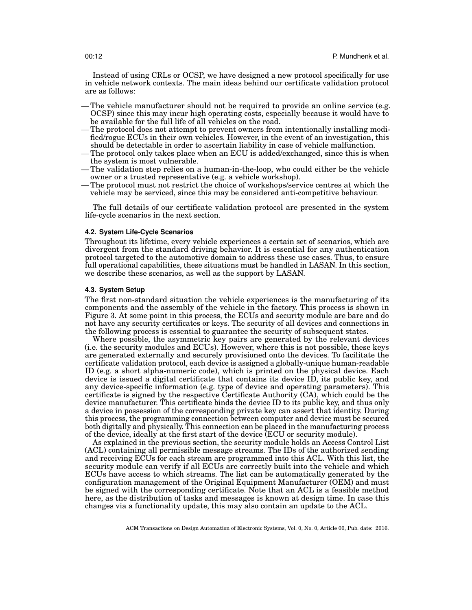Instead of using CRLs or OCSP, we have designed a new protocol specifically for use in vehicle network contexts. The main ideas behind our certificate validation protocol are as follows:

- The vehicle manufacturer should not be required to provide an online service (e.g. OCSP) since this may incur high operating costs, especially because it would have to be available for the full life of all vehicles on the road.
- The protocol does not attempt to prevent owners from intentionally installing modified/rogue ECUs in their own vehicles. However, in the event of an investigation, this should be detectable in order to ascertain liability in case of vehicle malfunction.
- The protocol only takes place when an ECU is added/exchanged, since this is when the system is most vulnerable.
- The validation step relies on a human-in-the-loop, who could either be the vehicle owner or a trusted representative (e.g. a vehicle workshop).
- The protocol must not restrict the choice of workshops/service centres at which the vehicle may be serviced, since this may be considered anti-competitive behaviour.

The full details of our certificate validation protocol are presented in the system life-cycle scenarios in the next section.

# **4.2. System Life-Cycle Scenarios**

Throughout its lifetime, every vehicle experiences a certain set of scenarios, which are divergent from the standard driving behavior. It is essential for any authentication protocol targeted to the automotive domain to address these use cases. Thus, to ensure full operational capabilities, these situations must be handled in LASAN. In this section, we describe these scenarios, as well as the support by LASAN.

#### **4.3. System Setup**

The first non-standard situation the vehicle experiences is the manufacturing of its components and the assembly of the vehicle in the factory. This process is shown in Figure 3. At some point in this process, the ECUs and security module are bare and do not have any security certificates or keys. The security of all devices and connections in the following process is essential to guarantee the security of subsequent states.

Where possible, the asymmetric key pairs are generated by the relevant devices (i.e. the security modules and ECUs). However, where this is not possible, these keys are generated externally and securely provisioned onto the devices. To facilitate the certificate validation protocol, each device is assigned a globally-unique human-readable ID (e.g. a short alpha-numeric code), which is printed on the physical device. Each device is issued a digital certificate that contains its device ID, its public key, and any device-specific information (e.g. type of device and operating parameters). This certificate is signed by the respective Certificate Authority (CA), which could be the device manufacturer. This certificate binds the device ID to its public key, and thus only a device in possession of the corresponding private key can assert that identity. During this process, the programming connection between computer and device must be secured both digitally and physically. This connection can be placed in the manufacturing process of the device, ideally at the first start of the device (ECU or security module).

As explained in the previous section, the security module holds an Access Control List (ACL) containing all permissible message streams. The IDs of the authorized sending and receiving ECUs for each stream are programmed into this ACL. With this list, the security module can verify if all ECUs are correctly built into the vehicle and which ECUs have access to which streams. The list can be automatically generated by the configuration management of the Original Equipment Manufacturer (OEM) and must be signed with the corresponding certificate. Note that an ACL is a feasible method here, as the distribution of tasks and messages is known at design time. In case this changes via a functionality update, this may also contain an update to the ACL.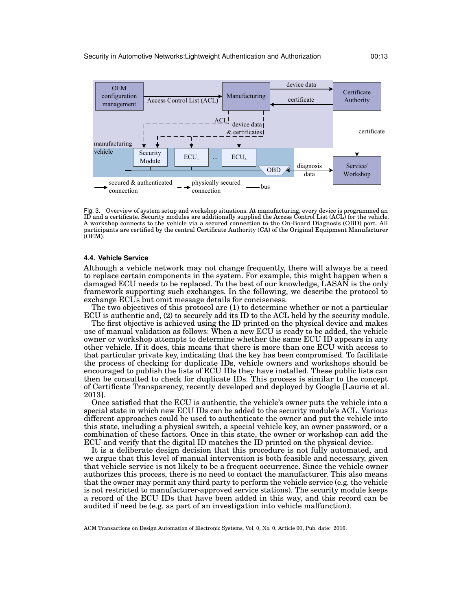

Fig. 3. Overview of system setup and workshop situations. At manufacturing, every device is programmed an ID and a certificate. Security modules are additionally supplied the Access Control List (ACL) for the vehicle. A workshop connects to the vehicle via a secured connection to the On-Board Diagnosis (OBD) port. All participants are certified by the central Certificate Authority (CA) of the Original Equipment Manufacturer (OEM).

## **4.4. Vehicle Service**

Although a vehicle network may not change frequently, there will always be a need to replace certain components in the system. For example, this might happen when a damaged ECU needs to be replaced. To the best of our knowledge, LASAN is the only framework supporting such exchanges. In the following, we describe the protocol to exchange ECUs but omit message details for conciseness.

The two objectives of this protocol are (1) to determine whether or not a particular ECU is authentic and, (2) to securely add its ID to the ACL held by the security module.

The first objective is achieved using the ID printed on the physical device and makes use of manual validation as follows: When a new ECU is ready to be added, the vehicle owner or workshop attempts to determine whether the same ECU ID appears in any other vehicle. If it does, this means that there is more than one ECU with access to that particular private key, indicating that the key has been compromised. To facilitate the process of checking for duplicate IDs, vehicle owners and workshops should be encouraged to publish the lists of ECU IDs they have installed. These public lists can then be consulted to check for duplicate IDs. This process is similar to the concept of Certificate Transparency, recently developed and deployed by Google [Laurie et al. 2013].

Once satisfied that the ECU is authentic, the vehicle's owner puts the vehicle into a special state in which new ECU IDs can be added to the security module's ACL. Various different approaches could be used to authenticate the owner and put the vehicle into this state, including a physical switch, a special vehicle key, an owner password, or a combination of these factors. Once in this state, the owner or workshop can add the ECU and verify that the digital ID matches the ID printed on the physical device.

It is a deliberate design decision that this procedure is not fully automated, and we argue that this level of manual intervention is both feasible and necessary, given that vehicle service is not likely to be a frequent occurrence. Since the vehicle owner authorizes this process, there is no need to contact the manufacturer. This also means that the owner may permit any third party to perform the vehicle service (e.g. the vehicle is not restricted to manufacturer-approved service stations). The security module keeps a record of the ECU IDs that have been added in this way, and this record can be audited if need be (e.g. as part of an investigation into vehicle malfunction).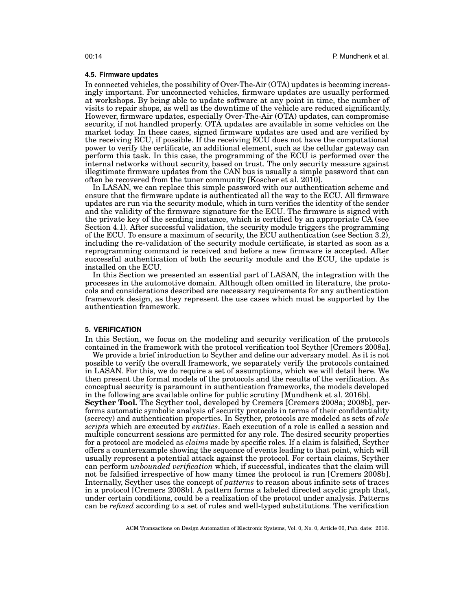# **4.5. Firmware updates**

In connected vehicles, the possibility of Over-The-Air (OTA) updates is becoming increasingly important. For unconnected vehicles, firmware updates are usually performed at workshops. By being able to update software at any point in time, the number of visits to repair shops, as well as the downtime of the vehicle are reduced significantly. However, firmware updates, especially Over-The-Air (OTA) updates, can compromise security, if not handled properly. OTA updates are available in some vehicles on the market today. In these cases, signed firmware updates are used and are verified by the receiving ECU, if possible. If the receiving ECU does not have the computational power to verify the certificate, an additional element, such as the cellular gateway can perform this task. In this case, the programming of the ECU is performed over the internal networks without security, based on trust. The only security measure against illegitimate firmware updates from the CAN bus is usually a simple password that can often be recovered from the tuner community [Koscher et al. 2010].

In LASAN, we can replace this simple password with our authentication scheme and ensure that the firmware update is authenticated all the way to the ECU. All firmware updates are run via the security module, which in turn verifies the identity of the sender and the validity of the firmware signature for the ECU. The firmware is signed with the private key of the sending instance, which is certified by an appropriate CA (see Section 4.1). After successful validation, the security module triggers the programming of the ECU. To ensure a maximum of security, the ECU authentication (see Section 3.2), including the re-validation of the security module certificate, is started as soon as a reprogramming command is received and before a new firmware is accepted. After successful authentication of both the security module and the ECU, the update is installed on the ECU.

In this Section we presented an essential part of LASAN, the integration with the processes in the automotive domain. Although often omitted in literature, the protocols and considerations described are necessary requirements for any authentication framework design, as they represent the use cases which must be supported by the authentication framework.

# **5. VERIFICATION**

In this Section, we focus on the modeling and security verification of the protocols contained in the framework with the protocol verification tool Scyther [Cremers 2008a].

We provide a brief introduction to Scyther and define our adversary model. As it is not possible to verify the overall framework, we separately verify the protocols contained in LASAN. For this, we do require a set of assumptions, which we will detail here. We then present the formal models of the protocols and the results of the verification. As conceptual security is paramount in authentication frameworks, the models developed in the following are available online for public scrutiny [Mundhenk et al. 2016b].

**Scyther Tool.** The Scyther tool, developed by Cremers [Cremers 2008a; 2008b], performs automatic symbolic analysis of security protocols in terms of their confidentiality (secrecy) and authentication properties. In Scyther, protocols are modeled as sets of *role scripts* which are executed by *entities*. Each execution of a role is called a session and multiple concurrent sessions are permitted for any role. The desired security properties for a protocol are modeled as *claims* made by specific roles. If a claim is falsified, Scyther offers a counterexample showing the sequence of events leading to that point, which will usually represent a potential attack against the protocol. For certain claims, Scyther can perform *unbounded verification* which, if successful, indicates that the claim will not be falsified irrespective of how many times the protocol is run [Cremers 2008b]. Internally, Scyther uses the concept of *patterns* to reason about infinite sets of traces in a protocol [Cremers 2008b]. A pattern forms a labeled directed acyclic graph that, under certain conditions, could be a realization of the protocol under analysis. Patterns can be *refined* according to a set of rules and well-typed substitutions. The verification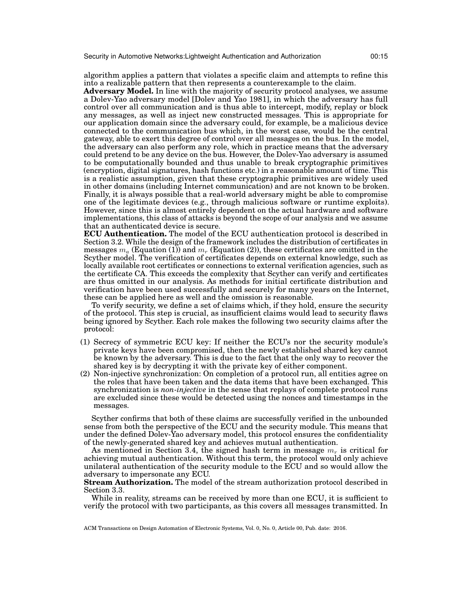algorithm applies a pattern that violates a specific claim and attempts to refine this into a realizable pattern that then represents a counterexample to the claim.

**Adversary Model.** In line with the majority of security protocol analyses, we assume a Dolev-Yao adversary model [Dolev and Yao 1981], in which the adversary has full control over all communication and is thus able to intercept, modify, replay or block any messages, as well as inject new constructed messages. This is appropriate for our application domain since the adversary could, for example, be a malicious device connected to the communication bus which, in the worst case, would be the central gateway, able to exert this degree of control over all messages on the bus. In the model, the adversary can also perform any role, which in practice means that the adversary could pretend to be any device on the bus. However, the Dolev-Yao adversary is assumed to be computationally bounded and thus unable to break cryptographic primitives (encryption, digital signatures, hash functions etc.) in a reasonable amount of time. This is a realistic assumption, given that these cryptographic primitives are widely used in other domains (including Internet communication) and are not known to be broken. Finally, it is always possible that a real-world adversary might be able to compromise one of the legitimate devices (e.g., through malicious software or runtime exploits). However, since this is almost entirely dependent on the actual hardware and software implementations, this class of attacks is beyond the scope of our analysis and we assume that an authenticated device is secure.

**ECU Authentication.** The model of the ECU authentication protocol is described in Section 3.2. While the design of the framework includes the distribution of certificates in messages *m<sup>a</sup>* (Equation (1)) and *m<sup>r</sup>* (Equation (2)), these certificates are omitted in the Scyther model. The verification of certificates depends on external knowledge, such as locally available root certificates or connections to external verification agencies, such as the certificate CA. This exceeds the complexity that Scyther can verify and certificates are thus omitted in our analysis. As methods for initial certificate distribution and verification have been used successfully and securely for many years on the Internet, these can be applied here as well and the omission is reasonable.

To verify security, we define a set of claims which, if they hold, ensure the security of the protocol. This step is crucial, as insufficient claims would lead to security flaws being ignored by Scyther. Each role makes the following two security claims after the protocol:

- (1) Secrecy of symmetric ECU key: If neither the ECU's nor the security module's private keys have been compromised, then the newly established shared key cannot be known by the adversary. This is due to the fact that the only way to recover the shared key is by decrypting it with the private key of either component.
- (2) Non-injective synchronization: On completion of a protocol run, all entities agree on the roles that have been taken and the data items that have been exchanged. This synchronization is *non-injective* in the sense that replays of complete protocol runs are excluded since these would be detected using the nonces and timestamps in the messages.

Scyther confirms that both of these claims are successfully verified in the unbounded sense from both the perspective of the ECU and the security module. This means that under the defined Dolev-Yao adversary model, this protocol ensures the confidentiality of the newly-generated shared key and achieves mutual authentication.

As mentioned in Section 3.4, the signed hash term in message *m<sup>r</sup>* is critical for achieving mutual authentication. Without this term, the protocol would only achieve unilateral authentication of the security module to the ECU and so would allow the adversary to impersonate any ECU.

**Stream Authorization.** The model of the stream authorization protocol described in Section 3.3.

While in reality, streams can be received by more than one ECU, it is sufficient to verify the protocol with two participants, as this covers all messages transmitted. In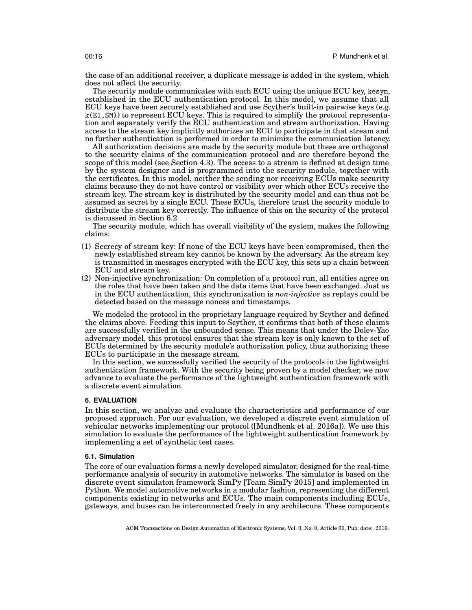the case of an additional receiver, a duplicate message is added in the system, which does not affect the security.

The security module communicates with each ECU using the unique ECU key, kesym, established in the ECU authentication protocol. In this model, we assume that all ECU keys have been securely established and use Scyther's built-in pairwise keys (e.g.  $k(E1, SM)$ ) to represent ECU keys. This is required to simplify the protocol representation and separately verify the ECU authentication and stream authorization. Having access to the stream key implicitly authorizes an ECU to participate in that stream and no further authentication is performed in order to minimize the communication latency.

All authorization decisions are made by the security module but these are orthogonal to the security claims of the communication protocol and are therefore beyond the scope of this model (see Section 4.3). The access to a stream is defined at design time by the system designer and is programmed into the security module, together with the certificates. In this model, neither the sending nor receiving ECUs make security claims because they do not have control or visibility over which other ECUs receive the stream key. The stream key is distributed by the security model and can thus not be assumed as secret by a single ECU. These ECUs, therefore trust the security module to distribute the stream key correctly. The influence of this on the security of the protocol is discussed in Section 6.2

The security module, which has overall visibility of the system, makes the following claims:

- (1) Secrecy of stream key: If none of the ECU keys have been compromised, then the newly established stream key cannot be known by the adversary. As the stream key is transmitted in messages encrypted with the ECU key, this sets up a chain between ECU and stream key.
- (2) Non-injective synchronization: On completion of a protocol run, all entities agree on the roles that have been taken and the data items that have been exchanged. Just as in the ECU authentication, this synchronization is *non-injective* as replays could be detected based on the message nonces and timestamps.

We modeled the protocol in the proprietary language required by Scyther and defined the claims above. Feeding this input to Scyther, it confirms that both of these claims are successfully verified in the unbounded sense. This means that under the Dolev-Yao adversary model, this protocol ensures that the stream key is only known to the set of ECUs determined by the security module's authorization policy, thus authorizing these ECUs to participate in the message stream.

In this section, we successfully verified the security of the protocols in the lightweight authentication framework. With the security being proven by a model checker, we now advance to evaluate the performance of the lightweight authentication framework with a discrete event simulation.

#### **6. EVALUATION**

In this section, we analyze and evaluate the characteristics and performance of our proposed approach. For our evaluation, we developed a discrete event simulation of vehicular networks implementing our protocol ([Mundhenk et al. 2016a]). We use this simulation to evaluate the performance of the lightweight authentication framework by implementing a set of synthetic test cases.

#### **6.1. Simulation**

The core of our evaluation forms a newly developed simulator, designed for the real-time performance analysis of security in automotive networks. The simulator is based on the discrete event simulaton framework SimPy [Team SimPy 2015] and implemented in Python. We model automotive networks in a modular fashion, representing the different components existing in networks and ECUs. The main components including ECUs, gateways, and buses can be interconnected freely in any architecure. These components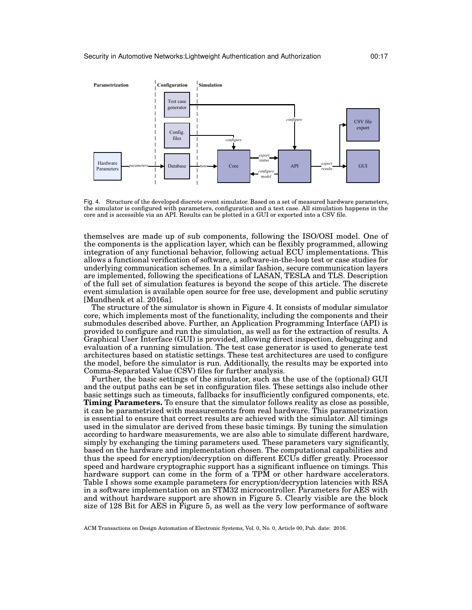

Fig. 4. Structure of the developed discrete event simulator. Based on a set of measured hardware parameters, the simulator is configured with parameters, configuration and a test case. All simulation happens in the core and is accessible via an API. Results can be plotted in a GUI or exported into a CSV file.

themselves are made up of sub components, following the ISO/OSI model. One of the components is the application layer, which can be flexibly programmed, allowing integration of any functional behavior, following actual ECU implementations. This allows a functional verification of software, a software-in-the-loop test or case studies for underlying communication schemes. In a similar fashion, secure communication layers are implemented, following the specifications of LASAN, TESLA and TLS. Description of the full set of simulation features is beyond the scope of this article. The discrete event simulation is available open source for free use, development and public scrutiny [Mundhenk et al. 2016a].

The structure of the simulator is shown in Figure 4. It consists of modular simulator core, which implements most of the functionality, including the components and their submodules described above. Further, an Application Programming Interface (API) is provided to configure and run the simulation, as well as for the extraction of results. A Graphical User Interface (GUI) is provided, allowing direct inspection, debugging and evaluation of a running simulation. The test case generator is used to generate test architectures based on statistic settings. These test architectures are used to configure the model, before the simulator is run. Additionally, the results may be exported into Comma-Separated Value (CSV) files for further analysis.

Further, the basic settings of the simulator, such as the use of the (optional) GUI and the output paths can be set in configuration files. These settings also include other basic settings such as timeouts, fallbacks for insufficiently configured components, etc. **Timing Parameters.** To ensure that the simulator follows reality as close as possible, it can be parametrized with measurements from real hardware. This parametrization is essential to ensure that correct results are achieved with the simulator. All timings used in the simulator are derived from these basic timings. By tuning the simulation according to hardware measurements, we are also able to simulate different hardware, simply by exchanging the timing parameters used. These parameters vary significantly, based on the hardware and implementation chosen. The computational capabilities and thus the speed for encryption/decryption on different ECUs differ greatly. Processor speed and hardware cryptographic support has a significant influence on timings. This hardware support can come in the form of a TPM or other hardware accelerators. Table I shows some example parameters for encryption/decryption latencies with RSA in a software implementation on an STM32 microcontroller. Parameters for AES with and without hardware support are shown in Figure 5. Clearly visible are the block size of 128 Bit for AES in Figure 5, as well as the very low performance of software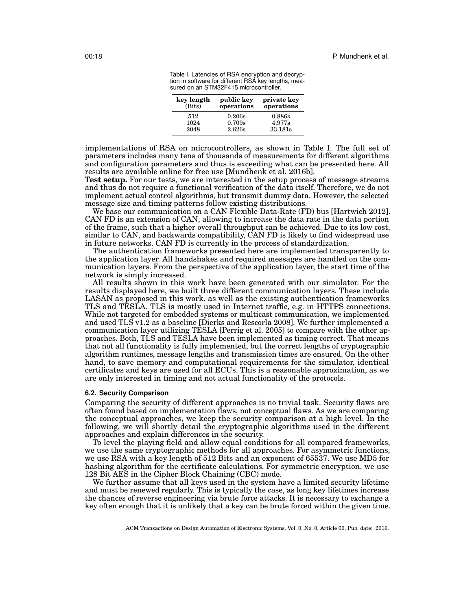Table I. Latencies of RSA encryption and decryption in software for different RSA key lengths, measured on an STM32F415 microcontroller.

| key length | public key | private key |
|------------|------------|-------------|
| (Bits)     | operations | operations  |
| 512        | 0.206s     | 0.886s      |
| 1024       | 0.709s     | 4.977s      |
| 2048       | 2.626s     | 33.181s     |

implementations of RSA on microcontrollers, as shown in Table I. The full set of parameters includes many tens of thousands of measurements for different algorithms and configuration parameters and thus is exceeding what can be presented here. All results are available online for free use [Mundhenk et al. 2016b].

**Test setup.** For our tests, we are interested in the setup process of message streams and thus do not require a functional verification of the data itself. Therefore, we do not implement actual control algorithms, but transmit dummy data. However, the selected message size and timing patterns follow existing distributions.

We base our communication on a CAN Flexible Data-Rate (FD) bus [Hartwich 2012]. CAN FD is an extension of CAN, allowing to increase the data rate in the data portion of the frame, such that a higher overall throughput can be achieved. Due to its low cost, similar to CAN, and backwards compatibility, CAN FD is likely to find widespread use in future networks. CAN FD is currently in the process of standardization.

The authentication frameworks presented here are implemented transparently to the application layer. All handshakes and required messages are handled on the communication layers. From the perspective of the application layer, the start time of the network is simply increased.

All results shown in this work have been generated with our simulator. For the results displayed here, we built three different communication layers. These include LASAN as proposed in this work, as well as the existing authentication frameworks TLS and TESLA. TLS is mostly used in Internet traffic, e.g. in HTTPS connections. While not targeted for embedded systems or multicast communication, we implemented and used TLS v1.2 as a baseline [Dierks and Rescorla 2008]. We further implemented a communication layer utilizing TESLA [Perrig et al. 2005] to compare with the other approaches. Both, TLS and TESLA have been implemented as timing correct. That means that not all functionality is fully implemented, but the correct lengths of cryptographic algorithm runtimes, message lengths and transmission times are ensured. On the other hand, to save memory and computational requirements for the simulator, identical certificates and keys are used for all ECUs. This is a reasonable approximation, as we are only interested in timing and not actual functionality of the protocols.

#### **6.2. Security Comparison**

Comparing the security of different approaches is no trivial task. Security flaws are often found based on implementation flaws, not conceptual flaws. As we are comparing the conceptual approaches, we keep the security comparison at a high level. In the following, we will shortly detail the cryptographic algorithms used in the different approaches and explain differences in the security.

To level the playing field and allow equal conditions for all compared frameworks, we use the same cryptographic methods for all approaches. For asymmetric functions, we use RSA with a key length of 512 Bits and an exponent of 65537. We use MD5 for hashing algorithm for the certificate calculations. For symmetric encryption, we use 128 Bit AES in the Cipher Block Chaining (CBC) mode.

We further assume that all keys used in the system have a limited security lifetime and must be renewed regularly. This is typically the case, as long key lifetimes increase the chances of reverse engineering via brute force attacks. It is necessary to exchange a key often enough that it is unlikely that a key can be brute forced within the given time.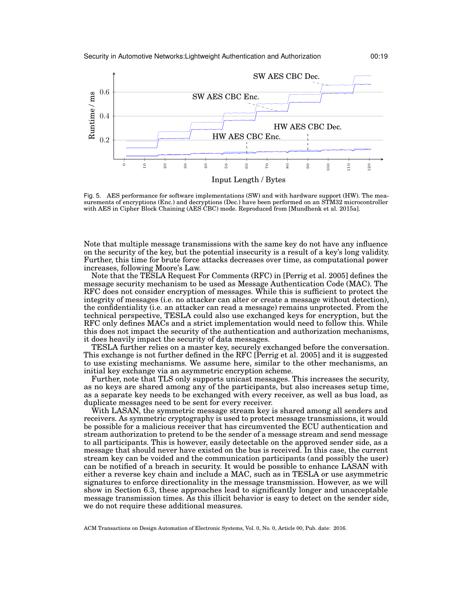

Fig. 5. AES performance for software implementations (SW) and with hardware support (HW). The measurements of encryptions (Enc.) and decryptions (Dec.) have been performed on an STM32 microcontroller with AES in Cipher Block Chaining (AES CBC) mode. Reproduced from [Mundhenk et al. 2015a].

Note that multiple message transmissions with the same key do not have any influence on the security of the key, but the potential insecurity is a result of a key's long validity. Further, this time for brute force attacks decreases over time, as computational power increases, following Moore's Law.

Note that the TESLA Request For Comments (RFC) in [Perrig et al. 2005] defines the message security mechanism to be used as Message Authentication Code (MAC). The RFC does not consider encryption of messages. While this is sufficient to protect the integrity of messages (i.e. no attacker can alter or create a message without detection), the confidentiality (i.e. an attacker can read a message) remains unprotected. From the technical perspective, TESLA could also use exchanged keys for encryption, but the RFC only defines MACs and a strict implementation would need to follow this. While this does not impact the security of the authentication and authorization mechanisms, it does heavily impact the security of data messages.

TESLA further relies on a master key, securely exchanged before the conversation. This exchange is not further defined in the RFC [Perrig et al. 2005] and it is suggested to use existing mechanisms. We assume here, similar to the other mechanisms, an initial key exchange via an asymmetric encryption scheme.

Further, note that TLS only supports unicast messages. This increases the security, as no keys are shared among any of the participants, but also increases setup time, as a separate key needs to be exchanged with every receiver, as well as bus load, as duplicate messages need to be sent for every receiver.

With LASAN, the symmetric message stream key is shared among all senders and receivers. As symmetric cryptography is used to protect message transmissions, it would be possible for a malicious receiver that has circumvented the ECU authentication and stream authorization to pretend to be the sender of a message stream and send message to all participants. This is however, easily detectable on the approved sender side, as a message that should never have existed on the bus is received. In this case, the current stream key can be voided and the communication participants (and possibly the user) can be notified of a breach in security. It would be possible to enhance LASAN with either a reverse key chain and include a MAC, such as in TESLA or use asymmetric signatures to enforce directionality in the message transmission. However, as we will show in Section 6.3, these approaches lead to significantly longer and unacceptable message transmission times. As this illicit behavior is easy to detect on the sender side, we do not require these additional measures.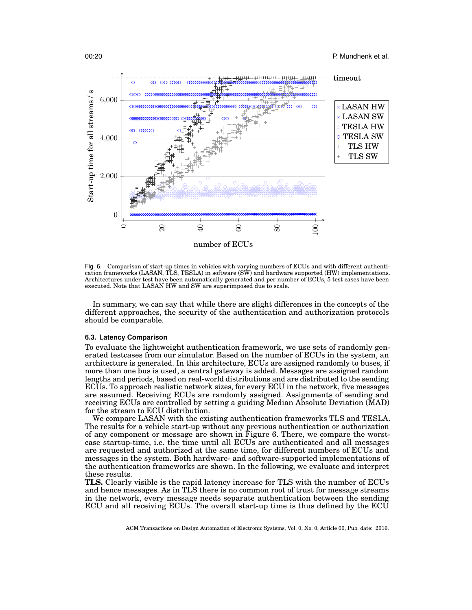

Fig. 6. Comparison of start-up times in vehicles with varying numbers of ECUs and with different authentication frameworks (LASAN, TLS, TESLA) in software (SW) and hardware supported (HW) implementations. Architectures under test have been automatically generated and per number of ECUs, 5 test cases have been executed. Note that LASAN HW and SW are superimposed due to scale.

In summary, we can say that while there are slight differences in the concepts of the different approaches, the security of the authentication and authorization protocols should be comparable.

#### **6.3. Latency Comparison**

To evaluate the lightweight authentication framework, we use sets of randomly generated testcases from our simulator. Based on the number of ECUs in the system, an architecture is generated. In this architecture, ECUs are assigned randomly to buses, if more than one bus is used, a central gateway is added. Messages are assigned random lengths and periods, based on real-world distributions and are distributed to the sending ECUs. To approach realistic network sizes, for every ECU in the network, five messages are assumed. Receiving ECUs are randomly assigned. Assignments of sending and receiving ECUs are controlled by setting a guiding Median Absolute Deviation (MAD) for the stream to ECU distribution.

We compare LASAN with the existing authentication frameworks TLS and TESLA. The results for a vehicle start-up without any previous authentication or authorization of any component or message are shown in Figure 6. There, we compare the worstcase startup-time, i.e. the time until all ECUs are authenticated and all messages are requested and authorized at the same time, for different numbers of ECUs and messages in the system. Both hardware- and software-supported implementations of the authentication frameworks are shown. In the following, we evaluate and interpret these results.

**TLS.** Clearly visible is the rapid latency increase for TLS with the number of ECUs and hence messages. As in TLS there is no common root of trust for message streams in the network, every message needs separate authentication between the sending ECU and all receiving ECUs. The overall start-up time is thus defined by the ECU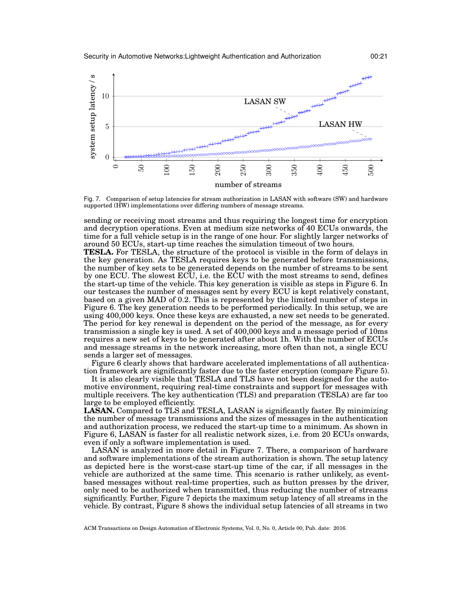

Fig. 7. Comparison of setup latencies for stream authorization in LASAN with software (SW) and hardware supported (HW) implementations over differing numbers of message streams.

sending or receiving most streams and thus requiring the longest time for encryption and decryption operations. Even at medium size networks of 40 ECUs onwards, the time for a full vehicle setup is in the range of one hour. For slightly larger networks of around 50 ECUs, start-up time reaches the simulation timeout of two hours.

**TESLA.** For TESLA, the structure of the protocol is visible in the form of delays in the key generation. As TESLA requires keys to be generated before transmissions, the number of key sets to be generated depends on the number of streams to be sent by one ECU. The slowest ECU, i.e. the ECU with the most streams to send, defines the start-up time of the vehicle. This key generation is visible as steps in Figure 6. In our testcases the number of messages sent by every ECU is kept relatively constant, based on a given MAD of 0.2. This is represented by the limited number of steps in Figure 6. The key generation needs to be performed periodically. In this setup, we are using 400,000 keys. Once these keys are exhausted, a new set needs to be generated. The period for key renewal is dependent on the period of the message, as for every transmission a single key is used. A set of 400,000 keys and a message period of 10ms requires a new set of keys to be generated after about 1h. With the number of ECUs and message streams in the network increasing, more often than not, a single ECU sends a larger set of messages.

Figure 6 clearly shows that hardware accelerated implementations of all authentication framework are significantly faster due to the faster encryption (compare Figure 5).

It is also clearly visible that TESLA and TLS have not been designed for the automotive environment, requiring real-time constraints and support for messages with multiple receivers. The key authentication (TLS) and preparation (TESLA) are far too large to be employed efficiently.

**LASAN.** Compared to TLS and TESLA, LASAN is significantly faster. By minimizing the number of message transmissions and the sizes of messages in the authentication and authorization process, we reduced the start-up time to a minimum. As shown in Figure 6, LASAN is faster for all realistic network sizes, i.e. from 20 ECUs onwards, even if only a software implementation is used.

LASAN is analyzed in more detail in Figure 7. There, a comparison of hardware and software implementations of the stream authorization is shown. The setup latency as depicted here is the worst-case start-up time of the car, if all messages in the vehicle are authorized at the same time. This scenario is rather unlikely, as eventbased messages without real-time properties, such as button presses by the driver, only need to be authorized when transmitted, thus reducing the number of streams significantly. Further, Figure 7 depicts the maximum setup latency of all streams in the vehicle. By contrast, Figure 8 shows the individual setup latencies of all streams in two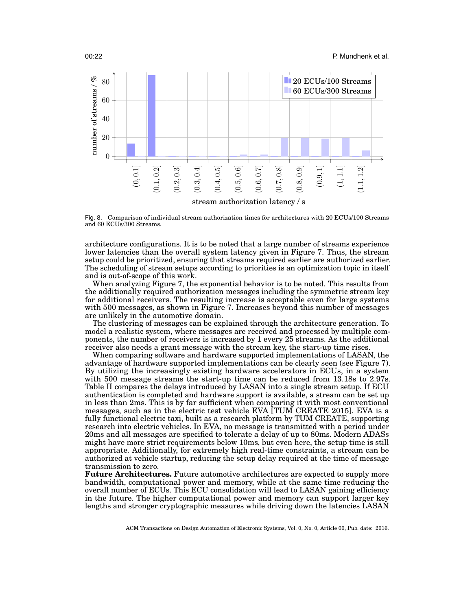

Fig. 8. Comparison of individual stream authorization times for architectures with 20 ECUs/100 Streams and 60 ECUs/300 Streams.

architecture configurations. It is to be noted that a large number of streams experience lower latencies than the overall system latency given in Figure 7. Thus, the stream setup could be prioritized, ensuring that streams required earlier are authorized earlier. The scheduling of stream setups according to priorities is an optimization topic in itself and is out-of-scope of this work.

When analyzing Figure 7, the exponential behavior is to be noted. This results from the additionally required authorization messages including the symmetric stream key for additional receivers. The resulting increase is acceptable even for large systems with 500 messages, as shown in Figure 7. Increases beyond this number of messages are unlikely in the automotive domain.

The clustering of messages can be explained through the architecture generation. To model a realistic system, where messages are received and processed by multiple components, the number of receivers is increased by 1 every 25 streams. As the additional receiver also needs a grant message with the stream key, the start-up time rises.

When comparing software and hardware supported implementations of LASAN, the advantage of hardware supported implementations can be clearly seen (see Figure 7). By utilizing the increasingly existing hardware accelerators in ECUs, in a system with 500 message streams the start-up time can be reduced from 13.18s to 2.97s. Table II compares the delays introduced by LASAN into a single stream setup. If ECU authentication is completed and hardware support is available, a stream can be set up in less than 2ms. This is by far sufficient when comparing it with most conventional messages, such as in the electric test vehicle EVA [TUM CREATE 2015]. EVA is a fully functional electric taxi, built as a research platform by TUM CREATE, supporting research into electric vehicles. In EVA, no message is transmitted with a period under 20ms and all messages are specified to tolerate a delay of up to 80ms. Modern ADASs might have more strict requirements below 10ms, but even here, the setup time is still appropriate. Additionally, for extremely high real-time constraints, a stream can be authorized at vehicle startup, reducing the setup delay required at the time of message transmission to zero.

**Future Architectures.** Future automotive architectures are expected to supply more bandwidth, computational power and memory, while at the same time reducing the overall number of ECUs. This ECU consolidation will lead to LASAN gaining efficiency in the future. The higher computational power and memory can support larger key lengths and stronger cryptographic measures while driving down the latencies LASAN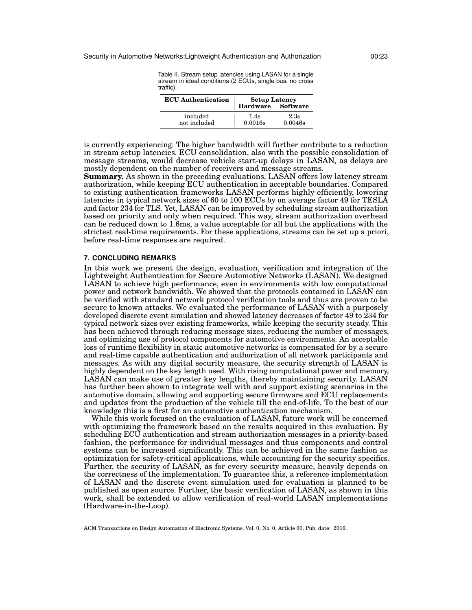Table II. Stream setup latencies using LASAN for a single stream in ideal conditions (2 ECUs, single bus, no cross traffic).

| <b>ECU</b> Authentication | <b>Setup Latency</b><br>Hardware Software |         |
|---------------------------|-------------------------------------------|---------|
| included                  | 1.4s                                      | 2.3s    |
| not included              | 0.0016s                                   | 0.0046s |

is currently experiencing. The higher bandwidth will further contribute to a reduction in stream setup latencies. ECU consolidation, also with the possible consolidation of message streams, would decrease vehicle start-up delays in LASAN, as delays are mostly dependent on the number of receivers and message streams.

**Summary.** As shown in the preceding evaluations, LASAN offers low latency stream authorization, while keeping ECU authentication in acceptable boundaries. Compared to existing authentication frameworks LASAN performs highly efficiently, lowering latencies in typical network sizes of 60 to 100 ECUs by on average factor 49 for TESLA and factor 234 for TLS. Yet, LASAN can be improved by scheduling stream authorization based on priority and only when required. This way, stream authorization overhead can be reduced down to 1.6ms, a value acceptable for all but the applications with the strictest real-time requirements. For these applications, streams can be set up a priori, before real-time responses are required.

#### **7. CONCLUDING REMARKS**

In this work we present the design, evaluation, verification and integration of the Lightweight Authentication for Secure Automotive Networks (LASAN). We designed LASAN to achieve high performance, even in environments with low computational power and network bandwidth. We showed that the protocols contained in LASAN can be verified with standard network protocol verification tools and thus are proven to be secure to known attacks. We evaluated the performance of LASAN with a purposely developed discrete event simulation and showed latency decreases of factor 49 to 234 for typical network sizes over existing frameworks, while keeping the security steady. This has been achieved through reducing message sizes, reducing the number of messages, and optimizing use of protocol components for automotive environments. An acceptable loss of runtime flexibility in static automotive networks is compensated for by a secure and real-time capable authentication and authorization of all network participants and messages. As with any digital security measure, the security strength of LASAN is highly dependent on the key length used. With rising computational power and memory, LASAN can make use of greater key lengths, thereby maintaining security. LASAN has further been shown to integrate well with and support existing scenarios in the automotive domain, allowing and supporting secure firmware and ECU replacements and updates from the production of the vehicle till the end-of-life. To the best of our knowledge this is a first for an automotive authentication mechanism.

While this work focused on the evaluation of LASAN, future work will be concerned with optimizing the framework based on the results acquired in this evaluation. By scheduling ECU authentication and stream authorization messages in a priority-based fashion, the performance for individual messages and thus components and control systems can be increased significantly. This can be achieved in the same fashion as optimization for safety-critical applications, while accounting for the security specifics. Further, the security of LASAN, as for every security measure, heavily depends on the correctness of the implementation. To guarantee this, a reference implementation of LASAN and the discrete event simulation used for evaluation is planned to be published as open source. Further, the basic verification of LASAN, as shown in this work, shall be extended to allow verification of real-world LASAN implementations (Hardware-in-the-Loop).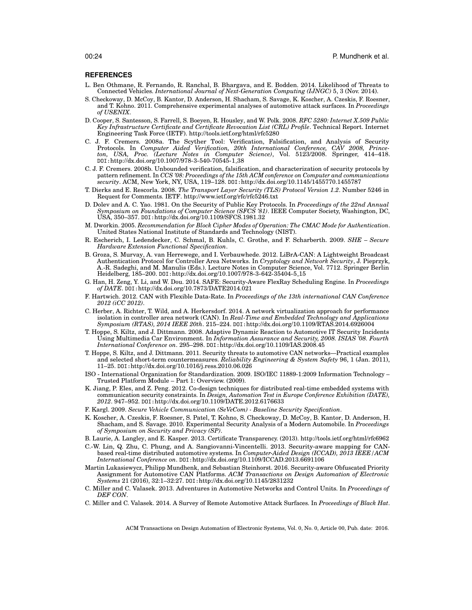#### **REFERENCES**

- L. Ben Othmane, R. Fernando, R. Ranchal, B. Bhargava, and E. Bodden. 2014. Likelihood of Threats to Connected Vehicles. *International Journal of Next-Generation Computing (IJNGC)* 5, 3 (Nov. 2014).
- S. Checkoway, D. McCoy, B. Kantor, D. Anderson, H. Shacham, S. Savage, K. Koscher, A. Czeskis, F. Roesner, and T. Kohno. 2011. Comprehensive experimental analyses of automotive attack surfaces. In *Proceedings of USENIX*.
- D. Cooper, S. Santesson, S. Farrell, S. Boeyen, R. Housley, and W. Polk. 2008. *RFC 5280: Internet X.509 Public Key Infrastructure Certificate and Certificate Revocation List (CRL) Profile*. Technical Report. Internet Engineering Task Force (IETF). http://tools.ietf.org/html/rfc5280
- J. F. Cremers. 2008a. The Scyther Tool: Verification, Falsification, and Analysis of Security Protocols. In *Computer Aided Verification, 20th International Conference, CAV 2008, Princeton, USA, Proc. (Lecture Notes in Computer Science)*, Vol. 5123/2008. Springer, 414–418. DOI:http://dx.doi.org/10.1007/978-3-540-70545-1 38
- C. J. F. Cremers. 2008b. Unbounded verification, falsification, and characterization of security protocols by pattern refinement. In *CCS '08: Proceedings of the 15th ACM conference on Computer and communications security*. ACM, New York, NY, USA, 119–128. DOI:http://dx.doi.org/10.1145/1455770.1455787
- T. Dierks and E. Rescorla. 2008. *The Transport Layer Security (TLS) Protocol Version 1.2*. Number 5246 in Request for Comments. IETF. http://www.ietf.org/rfc/rfc5246.txt
- D. Dolev and A. C. Yao. 1981. On the Security of Public Key Protocols. In *Proceedings of the 22nd Annual Symposium on Foundations of Computer Science (SFCS '81)*. IEEE Computer Society, Washington, DC, USA, 350–357. DOI:http://dx.doi.org/10.1109/SFCS.1981.32
- M. Dworkin. 2005. *Recommendation for Block Cipher Modes of Operation: The CMAC Mode for Authentication*. United States National Institute of Standards and Technology (NIST).
- R. Escherich, I. Ledendecker, C. Schmal, B. Kuhls, C. Grothe, and F. Scharberth. 2009. *SHE Secure Hardware Extension Functional Specification*.
- B. Groza, S. Murvay, A. van Herrewege, and I. Verbauwhede. 2012. LiBrA-CAN: A Lightweight Broadcast Authentication Protocol for Controller Area Networks. In *Cryptology and Network Security*, J. Pieprzyk, A.-R. Sadeghi, and M. Manulis (Eds.). Lecture Notes in Computer Science, Vol. 7712. Springer Berlin Heidelberg, 185–200. DOI:http://dx.doi.org/10.1007/978-3-642-35404-5 15
- G. Han, H. Zeng, Y. Li, and W. Dou. 2014. SAFE: Security-Aware FlexRay Scheduling Engine. In *Proceedings of DATE*. DOI:http://dx.doi.org/10.7873/DATE2014.021
- F. Hartwich. 2012. CAN with Flexible Data-Rate. In *Proceedings of the 13th international CAN Conference 2012 (iCC 2012)*.
- C. Herber, A. Richter, T. Wild, and A. Herkersdorf. 2014. A network virtualization approach for performance isolation in controller area network (CAN). In *Real-Time and Embedded Technology and Applications Symposium (RTAS), 2014 IEEE 20th*. 215–224. DOI:http://dx.doi.org/10.1109/RTAS.2014.6926004
- T. Hoppe, S. Kiltz, and J. Dittmann. 2008. Adaptive Dynamic Reaction to Automotive IT Security Incidents Using Multimedia Car Environment. In *Information Assurance and Security, 2008. ISIAS '08. Fourth International Conference on*. 295–298. DOI:http://dx.doi.org/10.1109/IAS.2008.45
- T. Hoppe, S. Kiltz, and J. Dittmann. 2011. Security threats to automotive CAN networks—Practical examples and selected short-term countermeasures. *Reliability Engineering & System Safety* 96, 1 (Jan. 2011), 11–25. DOI:http://dx.doi.org/10.1016/j.ress.2010.06.026
- ISO International Organization for Standardization. 2009. ISO/IEC 11889-1:2009 Information Technology Trusted Platform Module – Part 1: Overview. (2009).
- K. Jiang, P. Eles, and Z. Peng. 2012. Co-design techniques for distributed real-time embedded systems with communication security constraints. In *Design, Automation Test in Europe Conference Exhibition (DATE), 2012*. 947–952. DOI:http://dx.doi.org/10.1109/DATE.2012.6176633
- F. Kargl. 2009. *Secure Vehicle Communication (SeVeCom) Baseline Security Specification*.
- K. Koscher, A. Czeskis, F. Roesner, S. Patel, T. Kohno, S. Checkoway, D. McCoy, B. Kantor, D. Anderson, H. Shacham, and S. Savage. 2010. Experimental Security Analysis of a Modern Automobile. In *Proceedings of Symposium on Security and Privacy (SP)*.
- B. Laurie, A. Langley, and E. Kasper. 2013. Certificate Transparency. (2013). http://tools.ietf.org/html/rfc6962
- C.-W. Lin, Q. Zhu, C. Phung, and A. Sangiovanni-Vincentelli. 2013. Security-aware mapping for CANbased real-time distributed automotive systems. In *Computer-Aided Design (ICCAD), 2013 IEEE/ACM International Conference on*. DOI:http://dx.doi.org/10.1109/ICCAD.2013.6691106
- Martin Lukasiewycz, Philipp Mundhenk, and Sebastian Steinhorst. 2016. Security-aware Obfuscated Priority Assignment for Automotive CAN Platforms. *ACM Transactions on Design Automation of Electronic Systems* 21 (2016), 32:1–32:27. DOI:http://dx.doi.org/10.1145/2831232
- C. Miller and C. Valasek. 2013. Adventures in Automotive Networks and Control Units. In *Proceedings of DEF CON*.
- C. Miller and C. Valasek. 2014. A Survey of Remote Automotive Attack Surfaces. In *Proceedings of Black Hat*.